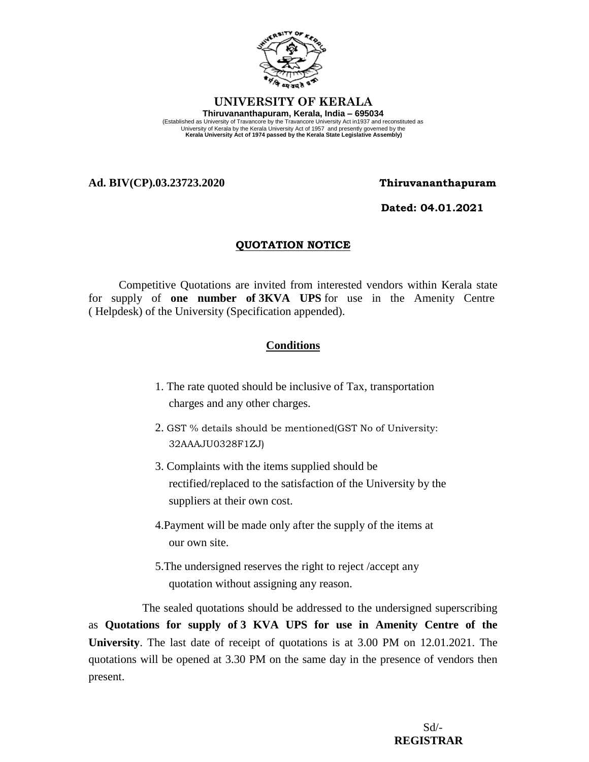

#### **UNIVERSITY OF KERALA Thiruvananthapuram, Kerala, India – 695034**  (Established as University of Travancore by the Travancore University Act in1937 and reconstituted as

University of Kerala by the Kerala University Act of 1957 and presently governed by the **Kerala University Act of 1974 passed by the Kerala State Legislative Assembly)**

### **Ad. BIV(CP).03.23723.2020 Thiruvananthapuram**

 **Dated: 04.01.2021**

#### **QUOTATION NOTICE**

 Competitive Quotations are invited from interested vendors within Kerala state for supply of **one number of 3KVA UPS** for use in the Amenity Centre ( Helpdesk) of the University (Specification appended).

## **Conditions**

- 1. The rate quoted should be inclusive of Tax, transportation charges and any other charges.
- 2. GST % details should be mentioned(GST No of University: 32AAAJU0328F1ZJ)
- 3. Complaints with the items supplied should be rectified/replaced to the satisfaction of the University by the suppliers at their own cost.
- 4.Payment will be made only after the supply of the items at our own site.
- 5.The undersigned reserves the right to reject /accept any quotation without assigning any reason.

 The sealed quotations should be addressed to the undersigned superscribing as **Quotations for supply of 3 KVA UPS for use in Amenity Centre of the University**. The last date of receipt of quotations is at 3.00 PM on 12.01.2021. The quotations will be opened at 3.30 PM on the same day in the presence of vendors then present.